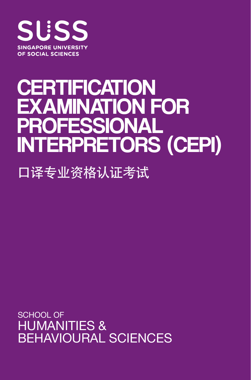

# **CERTIFICATION** EXAMINATION FOR PROFESSIONAL INTERPRETORS (CEPI)

口译专业资格认证考试

SCHOOL OF HUMANITIES & BEHAVIOURAL SCIENCES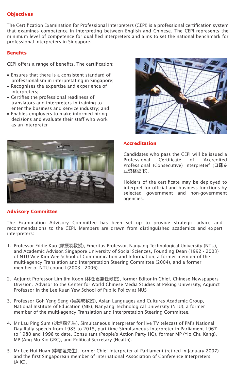# **Objectives**

The Certification Examination for Professional Interpreters (CEPI) is a professional certification system that examines competence in interpreting between English and Chinese. The CEPI represents the minimum level of competence for qualified interpreters and aims to set the national benchmark for professional interpreters in Singapore.

# **Benets**

CEPI offers a range of benefits. The certification:

- Ensures that there is a consistent standard of professionalism in interpretating in Singapore;
- Recognises the expertise and experience of interpreters;
- Certifies the professional readiness of translators and interpreters in training to enter the business and service industry; and
- Enables employers to make informed hiring decisions and evaluate their staff who work as an interpreter



# **Advisory Committee**



## **Accreditation**

Candidates who pass the CEPI will be issued a Professional Certificate of 'Accredited Professional (Consecutive) Interpreter' (口译专 业资格证书).

Holders of the certificate may be deployed to interpret for official and business functions by selected government and non-government agencies.

The Examination Advisory Committee has been set up to provide strategic advice and recommendations to the CEPI. Members are drawn from distinguished academics and expert interpreters:

- Professor Eddie Kuo (郭振羽教授), Emeritus Professor, Nanyang Technological University (NTU), 1. and Academic Advisor, Singapore University of Social Sciences, Founding Dean (1992 - 2003) of NTU Wee Kim Wee School of Communication and Information, a former member of the multi-agency Translation and Interpretation Steering Committee (2004), and a former member of NTU council (2003 - 2006).
- Adjunct Professor Lim Jim Koon (林任君兼任教授), former Editor-in-Chief, Chinese Newspapers 2. Division, Advisor to the Center for World Chinese Media Studies at Peking University, Adjunct Professor in the Lee Kuan Yew School of Public Policy at NUS
- 3. Professor Goh Yeng Seng (吴英成教授), Asian Languages and Cultures Academic Group, National Institute of Education (NIE), Nanyang Technological University (NTU), a former member of the multi-agency Translation and Interpretation Steering Committee.
- 4. Mr Lau Ping Sum (刘炳森先生), Simultaneous Interpreter for live TV telecast of PM's National Day Rally speech from 1985 to 2015, part-time Simultaneous Interpreter in Parliament 1967 to 1980 and 1998 to date, Consultant (People's Action Party HQ), former MP (Yio Chu Kang), MP (Ang Mo Kio GRC), and Political Secretary (Health).
- 5. Mr Lee Hui Huan (李慧垣先生), former Chief Interpreter of Parliament (retired in January 2007) and the first Singaporean member of International Association of Conference Interpreters (AIIC).